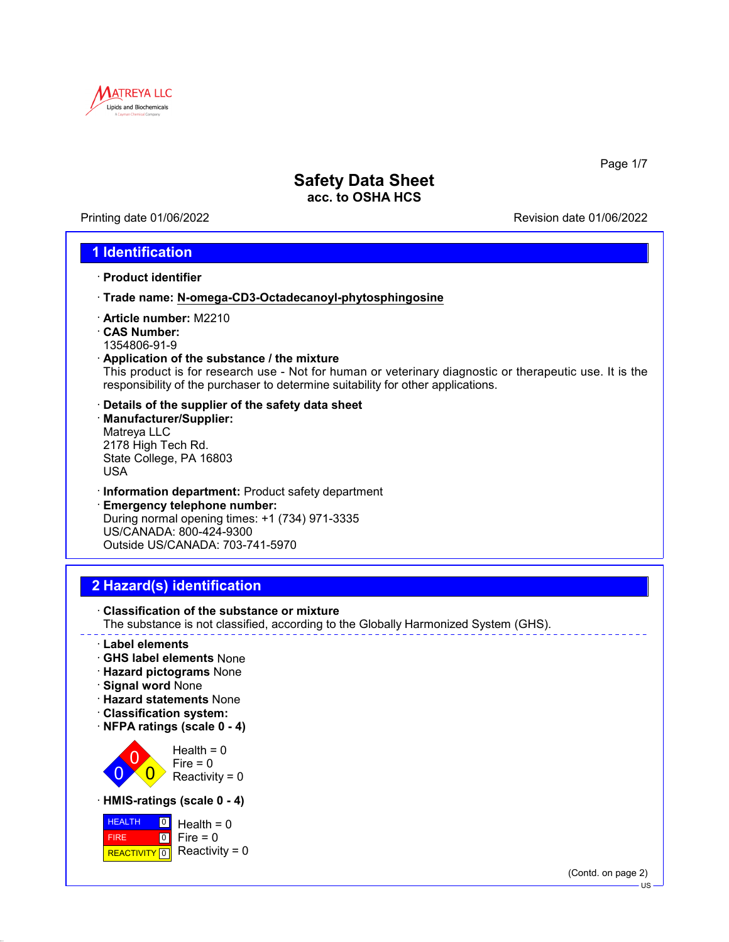

Printing date 01/06/2022 Revision date 01/06/2022

Page 1/7

### **1 Identification**

- · **Product identifier**
- · **Trade name: N-omega-CD3-Octadecanoyl-phytosphingosine**
- · **Article number:** M2210
- · **CAS Number:** 1354806-91-9
- · **Application of the substance / the mixture**

This product is for research use - Not for human or veterinary diagnostic or therapeutic use. It is the responsibility of the purchaser to determine suitability for other applications.

- · **Details of the supplier of the safety data sheet**
- · **Manufacturer/Supplier:** Matreya LLC 2178 High Tech Rd. State College, PA 16803 USA
- · **Information department:** Product safety department
- · **Emergency telephone number:** During normal opening times: +1 (734) 971-3335 US/CANADA: 800-424-9300 Outside US/CANADA: 703-741-5970

## **2 Hazard(s) identification**



- · **Label elements**
- · **GHS label elements** None
- · **Hazard pictograms** None
- · **Signal word** None
- · **Hazard statements** None
- · **Classification system:**
- · **NFPA ratings (scale 0 4)**



· **HMIS-ratings (scale 0 - 4)**



(Contd. on page 2)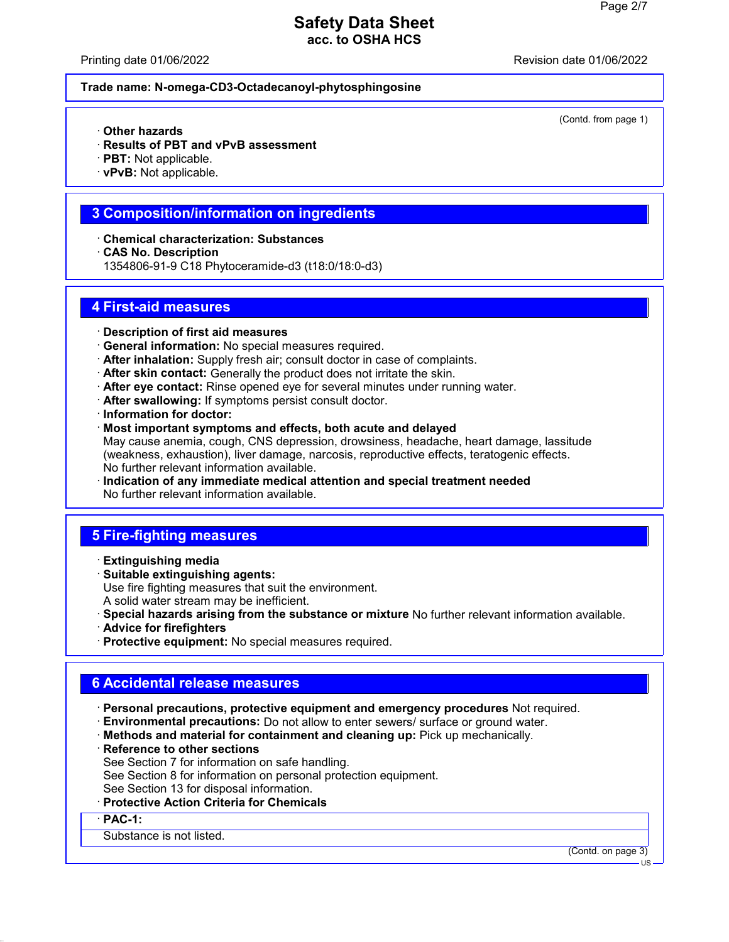Printing date 01/06/2022 Revision date 01/06/2022

(Contd. from page 1)

#### **Trade name: N-omega-CD3-Octadecanoyl-phytosphingosine**

- · **Other hazards**
- · **Results of PBT and vPvB assessment**
- · **PBT:** Not applicable.
- · **vPvB:** Not applicable.

### **3 Composition/information on ingredients**

- · **Chemical characterization: Substances**
- · **CAS No. Description**
- 1354806-91-9 C18 Phytoceramide-d3 (t18:0/18:0-d3)

### **4 First-aid measures**

- · **Description of first aid measures**
- · **General information:** No special measures required.
- · **After inhalation:** Supply fresh air; consult doctor in case of complaints.
- · **After skin contact:** Generally the product does not irritate the skin.
- · **After eye contact:** Rinse opened eye for several minutes under running water.
- · **After swallowing:** If symptoms persist consult doctor.
- · **Information for doctor:**
- · **Most important symptoms and effects, both acute and delayed** May cause anemia, cough, CNS depression, drowsiness, headache, heart damage, lassitude (weakness, exhaustion), liver damage, narcosis, reproductive effects, teratogenic effects. No further relevant information available.
- · **Indication of any immediate medical attention and special treatment needed** No further relevant information available.

## **5 Fire-fighting measures**

- · **Extinguishing media**
- · **Suitable extinguishing agents:** Use fire fighting measures that suit the environment. A solid water stream may be inefficient.
- · **Special hazards arising from the substance or mixture** No further relevant information available.
- · **Advice for firefighters**
- · **Protective equipment:** No special measures required.

# **6 Accidental release measures**

- · **Personal precautions, protective equipment and emergency procedures** Not required.
- · **Environmental precautions:** Do not allow to enter sewers/ surface or ground water.
- · **Methods and material for containment and cleaning up:** Pick up mechanically.
- · **Reference to other sections**
- See Section 7 for information on safe handling.
- See Section 8 for information on personal protection equipment.
- See Section 13 for disposal information.
- · **Protective Action Criteria for Chemicals**

· **PAC-1:**

### Substance is not listed.

(Contd. on page 3)

US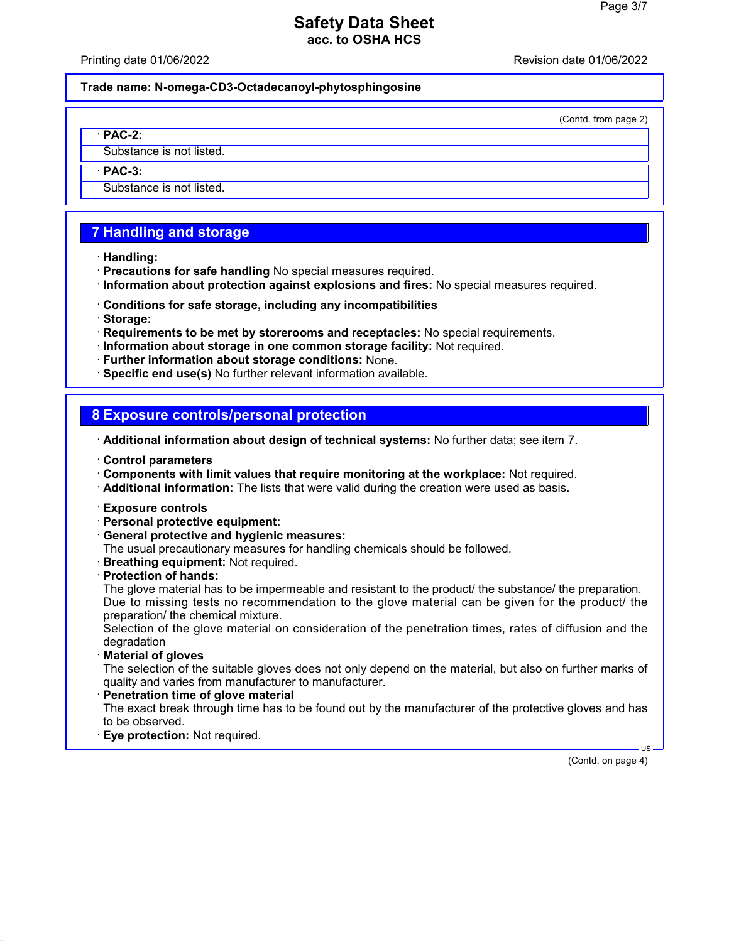Printing date 01/06/2022 Revision date 01/06/2022

**Trade name: N-omega-CD3-Octadecanoyl-phytosphingosine**

(Contd. from page 2)

· **PAC-2:**

Substance is not listed.

· **PAC-3:**

Substance is not listed.

# **7 Handling and storage**

- · **Handling:**
- · **Precautions for safe handling** No special measures required.
- · **Information about protection against explosions and fires:** No special measures required.
- · **Conditions for safe storage, including any incompatibilities**
- · **Storage:**
- · **Requirements to be met by storerooms and receptacles:** No special requirements.
- · **Information about storage in one common storage facility:** Not required.
- · **Further information about storage conditions:** None.
- · **Specific end use(s)** No further relevant information available.

### **8 Exposure controls/personal protection**

- · **Additional information about design of technical systems:** No further data; see item 7.
- · **Control parameters**
- · **Components with limit values that require monitoring at the workplace:** Not required.
- · **Additional information:** The lists that were valid during the creation were used as basis.
- · **Exposure controls**
- · **Personal protective equipment:**
- · **General protective and hygienic measures:**
- The usual precautionary measures for handling chemicals should be followed.
- · **Breathing equipment:** Not required.
- · **Protection of hands:**

The glove material has to be impermeable and resistant to the product/ the substance/ the preparation. Due to missing tests no recommendation to the glove material can be given for the product/ the preparation/ the chemical mixture.

Selection of the glove material on consideration of the penetration times, rates of diffusion and the degradation

· **Material of gloves**

The selection of the suitable gloves does not only depend on the material, but also on further marks of quality and varies from manufacturer to manufacturer.

· **Penetration time of glove material**

The exact break through time has to be found out by the manufacturer of the protective gloves and has to be observed.

· **Eye protection:** Not required.

(Contd. on page 4)

US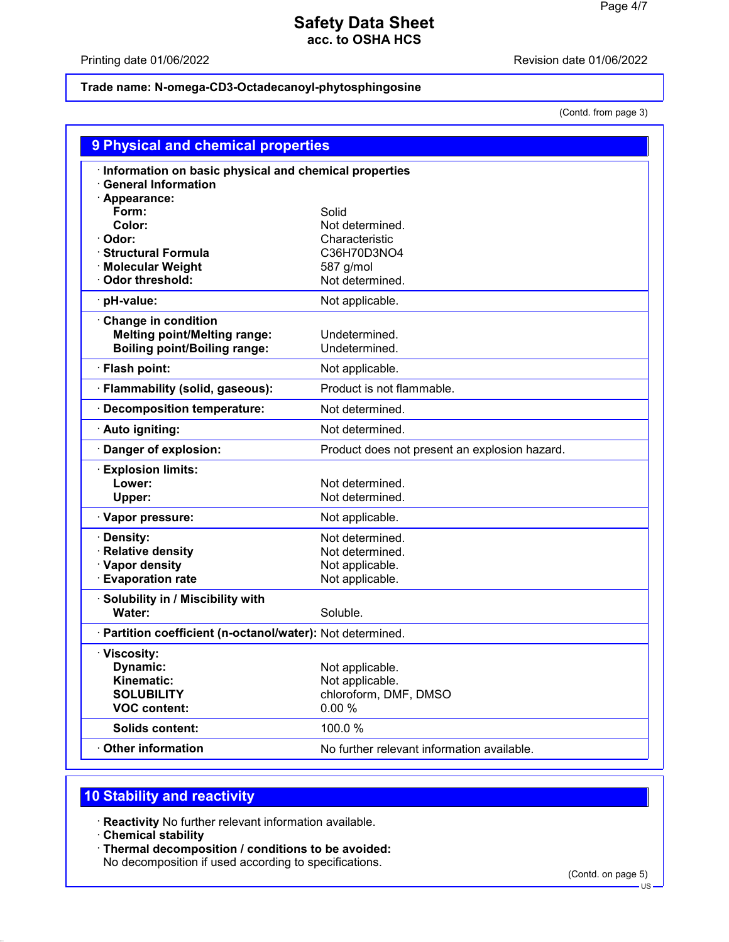Printing date 01/06/2022 **Revision date 01/06/2022** 

### **Trade name: N-omega-CD3-Octadecanoyl-phytosphingosine**

(Contd. from page 3)

| 9 Physical and chemical properties                                                                 |                                                      |
|----------------------------------------------------------------------------------------------------|------------------------------------------------------|
| Information on basic physical and chemical properties<br><b>General Information</b><br>Appearance: |                                                      |
| Form:                                                                                              | Solid                                                |
| Color:                                                                                             | Not determined.                                      |
| Odor:                                                                                              | Characteristic                                       |
| <b>Structural Formula</b>                                                                          | C36H70D3NO4                                          |
| <b>Molecular Weight</b><br>Odor threshold:                                                         | 587 g/mol<br>Not determined.                         |
| pH-value:                                                                                          | Not applicable.                                      |
|                                                                                                    |                                                      |
| <b>Change in condition</b><br><b>Melting point/Melting range:</b>                                  | Undetermined.                                        |
| <b>Boiling point/Boiling range:</b>                                                                | Undetermined.                                        |
| · Flash point:                                                                                     | Not applicable.                                      |
| · Flammability (solid, gaseous):                                                                   | Product is not flammable.                            |
| <b>Decomposition temperature:</b>                                                                  | Not determined.                                      |
| · Auto igniting:                                                                                   | Not determined.                                      |
| Danger of explosion:                                                                               | Product does not present an explosion hazard.        |
| <b>Explosion limits:</b>                                                                           |                                                      |
| Lower:                                                                                             | Not determined.                                      |
| Upper:                                                                                             | Not determined.                                      |
| · Vapor pressure:                                                                                  | Not applicable.                                      |
| <b>Density:</b>                                                                                    | Not determined.                                      |
| <b>Relative density</b>                                                                            | Not determined.                                      |
| · Vapor density<br><b>Evaporation rate</b>                                                         | Not applicable.<br>Not applicable.                   |
|                                                                                                    |                                                      |
|                                                                                                    |                                                      |
| Solubility in / Miscibility with<br>Water:                                                         | Soluble.                                             |
| · Partition coefficient (n-octanol/water): Not determined.                                         |                                                      |
| · Viscosity:                                                                                       |                                                      |
| Dynamic:                                                                                           | Not applicable.                                      |
| Kinematic:                                                                                         | Not applicable.                                      |
| <b>SOLUBILITY</b>                                                                                  | chloroform, DMF, DMSO                                |
| <b>VOC content:</b>                                                                                | 0.00%                                                |
| <b>Solids content:</b><br><b>Other information</b>                                                 | 100.0%<br>No further relevant information available. |

# **10 Stability and reactivity**

· **Reactivity** No further relevant information available.

- · **Chemical stability**
- · **Thermal decomposition / conditions to be avoided:** No decomposition if used according to specifications.

(Contd. on page 5)

US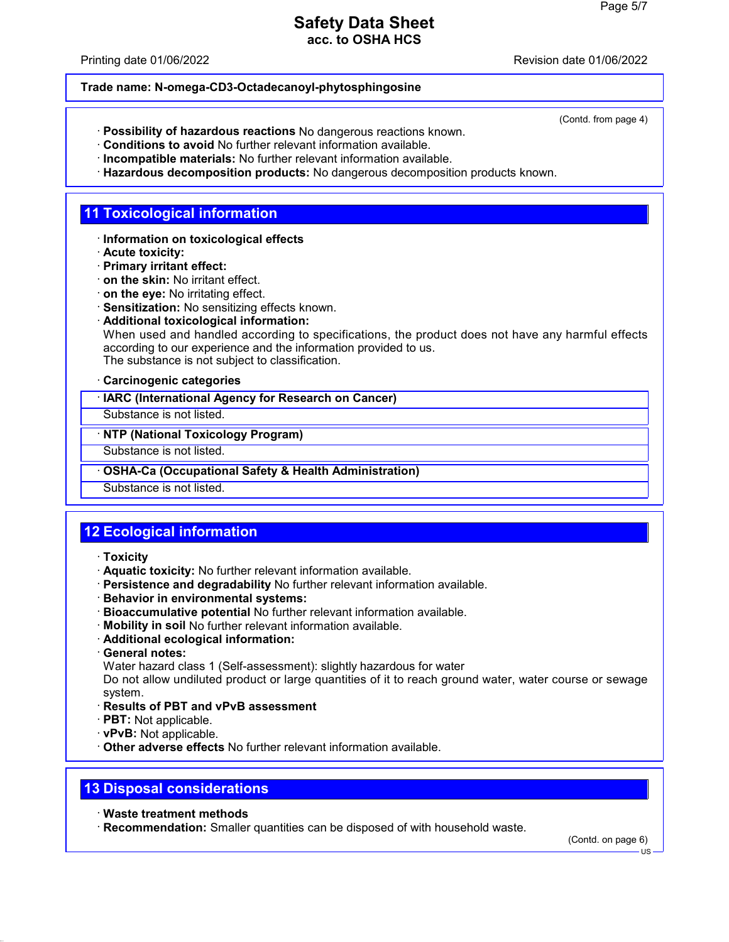Printing date 01/06/2022 Revision date 01/06/2022

(Contd. from page 4)

#### **Trade name: N-omega-CD3-Octadecanoyl-phytosphingosine**

- · **Possibility of hazardous reactions** No dangerous reactions known.
- · **Conditions to avoid** No further relevant information available.
- · **Incompatible materials:** No further relevant information available.
- · **Hazardous decomposition products:** No dangerous decomposition products known.

## **11 Toxicological information**

- · **Information on toxicological effects**
- · **Acute toxicity:**
- · **Primary irritant effect:**
- · **on the skin:** No irritant effect.
- · **on the eye:** No irritating effect.
- · **Sensitization:** No sensitizing effects known.
- · **Additional toxicological information:**

When used and handled according to specifications, the product does not have any harmful effects according to our experience and the information provided to us. The substance is not subject to classification.

· **Carcinogenic categories**

· **IARC (International Agency for Research on Cancer)**

Substance is not listed.

· **NTP (National Toxicology Program)**

Substance is not listed.

· **OSHA-Ca (Occupational Safety & Health Administration)**

Substance is not listed.

# **12 Ecological information**

- · **Toxicity**
- · **Aquatic toxicity:** No further relevant information available.
- · **Persistence and degradability** No further relevant information available.
- · **Behavior in environmental systems:**
- · **Bioaccumulative potential** No further relevant information available.
- · **Mobility in soil** No further relevant information available.
- · **Additional ecological information:**
- · **General notes:**
- Water hazard class 1 (Self-assessment): slightly hazardous for water

Do not allow undiluted product or large quantities of it to reach ground water, water course or sewage system.

- · **Results of PBT and vPvB assessment**
- · **PBT:** Not applicable.
- · **vPvB:** Not applicable.
- · **Other adverse effects** No further relevant information available.

# **13 Disposal considerations**

- · **Waste treatment methods**
- · **Recommendation:** Smaller quantities can be disposed of with household waste.

(Contd. on page 6)

US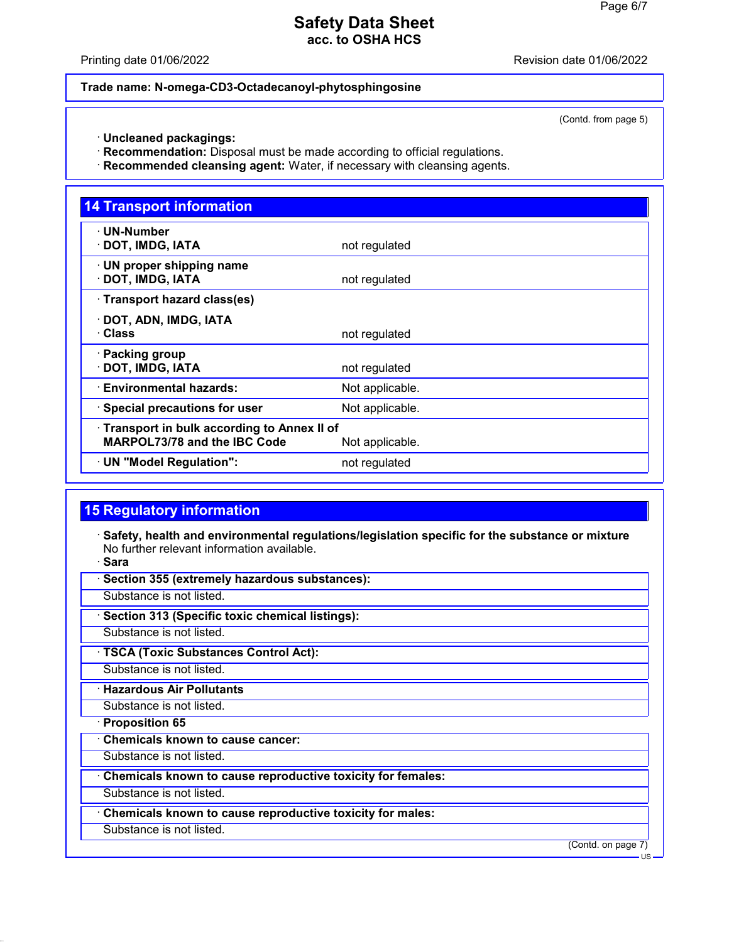Printing date 01/06/2022 Revision date 01/06/2022

#### **Trade name: N-omega-CD3-Octadecanoyl-phytosphingosine**

(Contd. from page 5)

- · **Uncleaned packagings:**
- · **Recommendation:** Disposal must be made according to official regulations.
- · **Recommended cleansing agent:** Water, if necessary with cleansing agents.

| <b>14 Transport information</b>                                                                        |                 |
|--------------------------------------------------------------------------------------------------------|-----------------|
| $\cdot$ UN-Number<br>· DOT, IMDG, IATA                                                                 | not regulated   |
| · UN proper shipping name<br>· DOT, IMDG, IATA                                                         | not regulated   |
| · Transport hazard class(es)                                                                           |                 |
| · DOT, ADN, IMDG, IATA<br>· Class                                                                      | not regulated   |
| · Packing group<br>DOT, IMDG, IATA                                                                     | not regulated   |
| · Environmental hazards:                                                                               | Not applicable. |
| · Special precautions for user                                                                         | Not applicable. |
| · Transport in bulk according to Annex II of<br><b>MARPOL73/78 and the IBC Code</b><br>Not applicable. |                 |
| · UN "Model Regulation":                                                                               | not regulated   |

## **15 Regulatory information**

· **Safety, health and environmental regulations/legislation specific for the substance or mixture** No further relevant information available.

· **Sara**

· **Section 355 (extremely hazardous substances):**

Substance is not listed.

· **Section 313 (Specific toxic chemical listings):**

Substance is not listed.

· **TSCA (Toxic Substances Control Act):**

Substance is not listed.

· **Hazardous Air Pollutants**

Substance is not listed.

· **Proposition 65**

· **Chemicals known to cause cancer:**

Substance is not listed.

· **Chemicals known to cause reproductive toxicity for females:**

Substance is not listed.

· **Chemicals known to cause reproductive toxicity for males:**

Substance is not listed.

(Contd. on page 7)

US